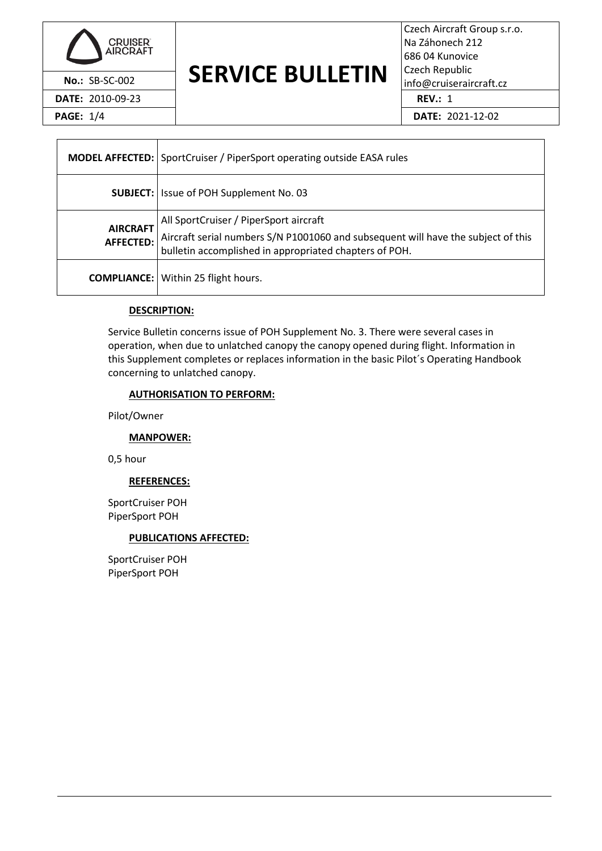

**No.: SB-SC-002** SERVICE BULLETIN Czech Republic info@cruiseraircraft.cz

Czech Aircraft Group s.r.o. Na Záhonech 212 686 04 Kunovice Czech Republic **DATE:** 2010-09-23 **REV.:** 1

**PAGE:** 1/4 **DATE:** 2021-12-02

|                                     | <b>MODEL AFFECTED:</b> SportCruiser / PiperSport operating outside EASA rules                                                                                                         |  |  |
|-------------------------------------|---------------------------------------------------------------------------------------------------------------------------------------------------------------------------------------|--|--|
|                                     | <b>SUBJECT:</b> Issue of POH Supplement No. 03                                                                                                                                        |  |  |
| <b>AIRCRAFT</b><br><b>AFFECTED:</b> | All SportCruiser / PiperSport aircraft<br>Aircraft serial numbers S/N P1001060 and subsequent will have the subject of this<br>bulletin accomplished in appropriated chapters of POH. |  |  |
|                                     | <b>COMPLIANCE:</b> Within 25 flight hours.                                                                                                                                            |  |  |

## **DESCRIPTION:**

Service Bulletin concerns issue of POH Supplement No. 3. There were several cases in operation, when due to unlatched canopy the canopy opened during flight. Information in this Supplement completes or replaces information in the basic Pilot´s Operating Handbook concerning to unlatched canopy.

## **AUTHORISATION TO PERFORM:**

Pilot/Owner

## **MANPOWER:**

0,5 hour

#### **REFERENCES:**

SportCruiser POH PiperSport POH

## **PUBLICATIONS AFFECTED:**

SportCruiser POH PiperSport POH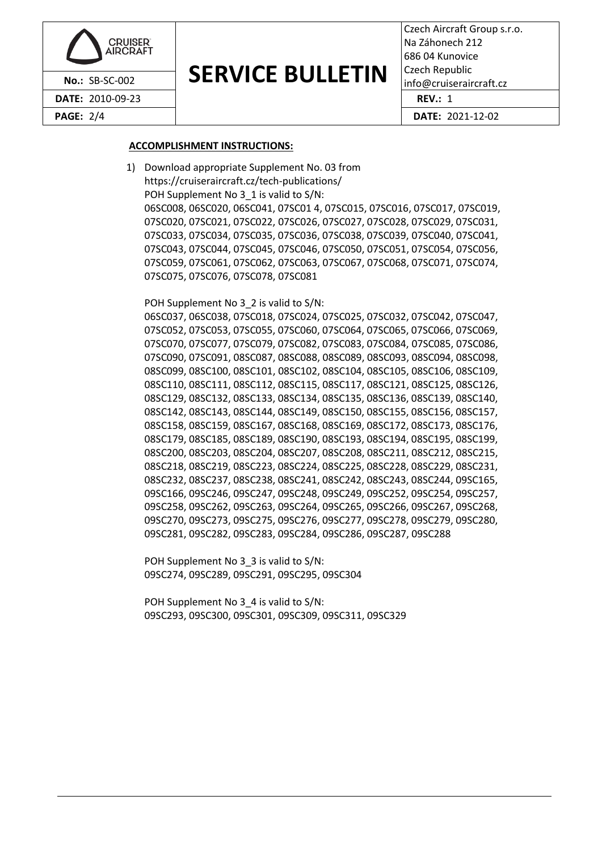

#### **SERVICE BULLETIN No.: SB-SC-002 DENVILE DULLE I IIV**  $\frac{1}{1000}$ cruiseraircraft.cz

Czech Aircraft Group s.r.o. Na Záhonech 212 686 04 Kunovice Czech Republic

### **ACCOMPLISHMENT INSTRUCTIONS:**

1) Download appropriate Supplement No. 03 from https://cruiseraircraft.cz/tech-publications/ POH Supplement No 3\_1 is valid to S/N: 06SC008, 06SC020, 06SC041, 07SC01 4, 07SC015, 07SC016, 07SC017, 07SC019, 07SC020, 07SC021, 07SC022, 07SC026, 07SC027, 07SC028, 07SC029, 07SC031, 07SC033, 07SC034, 07SC035, 07SC036, 07SC038, 07SC039, 07SC040, 07SC041, 07SC043, 07SC044, 07SC045, 07SC046, 07SC050, 07SC051, 07SC054, 07SC056, 07SC059, 07SC061, 07SC062, 07SC063, 07SC067, 07SC068, 07SC071, 07SC074, 07SC075, 07SC076, 07SC078, 07SC081

POH Supplement No 3\_2 is valid to S/N:

06SC037, 06SC038, 07SC018, 07SC024, 07SC025, 07SC032, 07SC042, 07SC047, 07SC052, 07SC053, 07SC055, 07SC060, 07SC064, 07SC065, 07SC066, 07SC069, 07SC070, 07SC077, 07SC079, 07SC082, 07SC083, 07SC084, 07SC085, 07SC086, 07SC090, 07SC091, 08SC087, 08SC088, 08SC089, 08SC093, 08SC094, 08SC098, 08SC099, 08SC100, 08SC101, 08SC102, 08SC104, 08SC105, 08SC106, 08SC109, 08SC110, 08SC111, 08SC112, 08SC115, 08SC117, 08SC121, 08SC125, 08SC126, 08SC129, 08SC132, 08SC133, 08SC134, 08SC135, 08SC136, 08SC139, 08SC140, 08SC142, 08SC143, 08SC144, 08SC149, 08SC150, 08SC155, 08SC156, 08SC157, 08SC158, 08SC159, 08SC167, 08SC168, 08SC169, 08SC172, 08SC173, 08SC176, 08SC179, 08SC185, 08SC189, 08SC190, 08SC193, 08SC194, 08SC195, 08SC199, 08SC200, 08SC203, 08SC204, 08SC207, 08SC208, 08SC211, 08SC212, 08SC215, 08SC218, 08SC219, 08SC223, 08SC224, 08SC225, 08SC228, 08SC229, 08SC231, 08SC232, 08SC237, 08SC238, 08SC241, 08SC242, 08SC243, 08SC244, 09SC165, 09SC166, 09SC246, 09SC247, 09SC248, 09SC249, 09SC252, 09SC254, 09SC257, 09SC258, 09SC262, 09SC263, 09SC264, 09SC265, 09SC266, 09SC267, 09SC268, 09SC270, 09SC273, 09SC275, 09SC276, 09SC277, 09SC278, 09SC279, 09SC280, 09SC281, 09SC282, 09SC283, 09SC284, 09SC286, 09SC287, 09SC288

POH Supplement No 3\_3 is valid to S/N: 09SC274, 09SC289, 09SC291, 09SC295, 09SC304

POH Supplement No 3\_4 is valid to S/N: 09SC293, 09SC300, 09SC301, 09SC309, 09SC311, 09SC329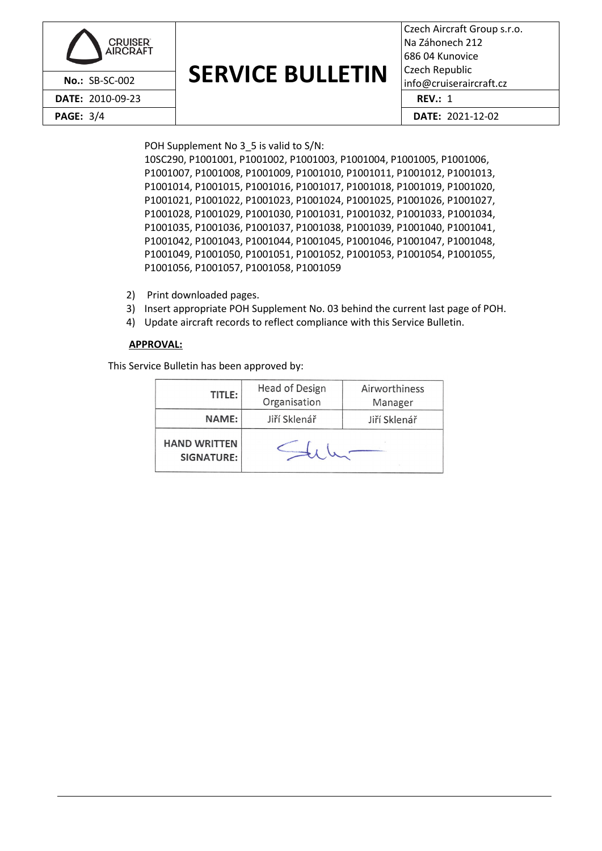| <b>CRUISER</b><br>AIRCRAFT |                         | Czech Airc<br>Na Záhone<br>686 04 Kur<br>Czech Rep |
|----------------------------|-------------------------|----------------------------------------------------|
| No.: SB-SC-002             | <b>SERVICE BULLETIN</b> | info@cruis                                         |
| <b>DATE: 2010-09-23</b>    |                         | REV: 1                                             |
| <b>PAGE: 3/4</b>           |                         | DATE: 2                                            |

## **SERVICE BULLETIN**

Czech Aircraft Group s.r.o. Na Záhonech 212 686 04 Kunovice Czech Republic  $info@cruiseraircraft.cz$ **PAGE:** 3/4 **DATE:** 2021-12-02

POH Supplement No 3\_5 is valid to S/N:

10SC290, P1001001, P1001002, P1001003, P1001004, P1001005, P1001006, P1001007, P1001008, P1001009, P1001010, P1001011, P1001012, P1001013, P1001014, P1001015, P1001016, P1001017, P1001018, P1001019, P1001020, P1001021, P1001022, P1001023, P1001024, P1001025, P1001026, P1001027, P1001028, P1001029, P1001030, P1001031, P1001032, P1001033, P1001034, P1001035, P1001036, P1001037, P1001038, P1001039, P1001040, P1001041, P1001042, P1001043, P1001044, P1001045, P1001046, P1001047, P1001048, P1001049, P1001050, P1001051, P1001052, P1001053, P1001054, P1001055, P1001056, P1001057, P1001058, P1001059

- 2) Print downloaded pages.
- 3) Insert appropriate POH Supplement No. 03 behind the current last page of POH.
- 4) Update aircraft records to reflect compliance with this Service Bulletin.

#### **APPROVAL:**

This Service Bulletin has been approved by:

|  | TITLE:                                   | Head of Design | Airworthiness |
|--|------------------------------------------|----------------|---------------|
|  |                                          | Organisation   | Manager       |
|  | <b>NAME:</b>                             | Jiří Sklenář   | Jiří Sklenář  |
|  | <b>HAND WRITTEN</b><br><b>SIGNATURE:</b> |                |               |